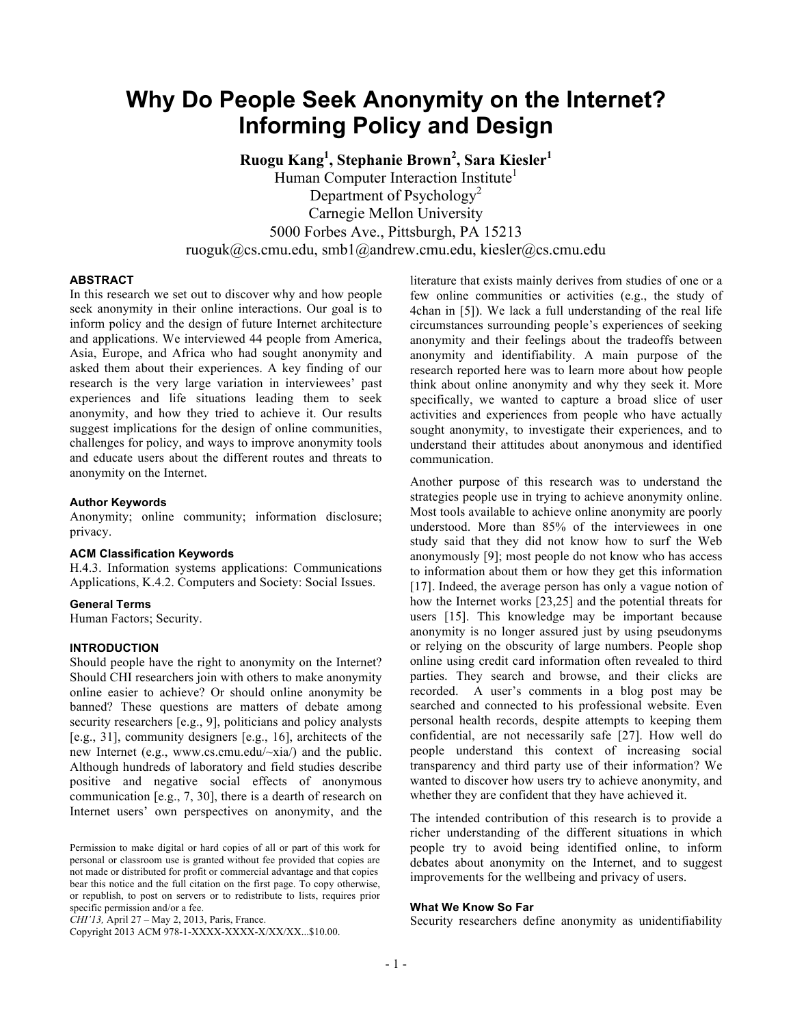# **Why Do People Seek Anonymity on the Internet? Informing Policy and Design**

**Ruogu Kang1 , Stephanie Brown<sup>2</sup> , Sara Kiesler1** Human Computer Interaction Institute<sup>1</sup> Department of Psychology<sup>2</sup> Carnegie Mellon University 5000 Forbes Ave., Pittsburgh, PA 15213 ruoguk@cs.cmu.edu, smb1@andrew.cmu.edu, kiesler@cs.cmu.edu

#### **ABSTRACT**

In this research we set out to discover why and how people seek anonymity in their online interactions. Our goal is to inform policy and the design of future Internet architecture and applications. We interviewed 44 people from America, Asia, Europe, and Africa who had sought anonymity and asked them about their experiences. A key finding of our research is the very large variation in interviewees' past experiences and life situations leading them to seek anonymity, and how they tried to achieve it. Our results suggest implications for the design of online communities, challenges for policy, and ways to improve anonymity tools and educate users about the different routes and threats to anonymity on the Internet.

#### **Author Keywords**

Anonymity; online community; information disclosure; privacy.

#### **ACM Classification Keywords**

H.4.3. Information systems applications: Communications Applications, K.4.2. Computers and Society: Social Issues.

#### **General Terms**

Human Factors; Security.

# **INTRODUCTION**

Should people have the right to anonymity on the Internet? Should CHI researchers join with others to make anonymity online easier to achieve? Or should online anonymity be banned? These questions are matters of debate among security researchers [e.g., 9], politicians and policy analysts [e.g., 31], community designers [e.g., 16], architects of the new Internet (e.g., www.cs.cmu.edu/~xia/) and the public. Although hundreds of laboratory and field studies describe positive and negative social effects of anonymous communication [e.g., 7, 30], there is a dearth of research on Internet users' own perspectives on anonymity, and the

*CHI'13,* April 27 – May 2, 2013, Paris, France.

Copyright 2013 ACM 978-1-XXXX-XXXX-X/XX/XX...\$10.00.

literature that exists mainly derives from studies of one or a few online communities or activities (e.g., the study of 4chan in [5]). We lack a full understanding of the real life circumstances surrounding people's experiences of seeking anonymity and their feelings about the tradeoffs between anonymity and identifiability. A main purpose of the research reported here was to learn more about how people think about online anonymity and why they seek it. More specifically, we wanted to capture a broad slice of user activities and experiences from people who have actually sought anonymity, to investigate their experiences, and to understand their attitudes about anonymous and identified communication.

Another purpose of this research was to understand the strategies people use in trying to achieve anonymity online. Most tools available to achieve online anonymity are poorly understood. More than 85% of the interviewees in one study said that they did not know how to surf the Web anonymously [9]; most people do not know who has access to information about them or how they get this information [17]. Indeed, the average person has only a vague notion of how the Internet works [23,25] and the potential threats for users [15]. This knowledge may be important because anonymity is no longer assured just by using pseudonyms or relying on the obscurity of large numbers. People shop online using credit card information often revealed to third parties. They search and browse, and their clicks are recorded. A user's comments in a blog post may be searched and connected to his professional website. Even personal health records, despite attempts to keeping them confidential, are not necessarily safe [27]. How well do people understand this context of increasing social transparency and third party use of their information? We wanted to discover how users try to achieve anonymity, and whether they are confident that they have achieved it.

The intended contribution of this research is to provide a richer understanding of the different situations in which people try to avoid being identified online, to inform debates about anonymity on the Internet, and to suggest improvements for the wellbeing and privacy of users.

#### **What We Know So Far**

Security researchers define anonymity as unidentifiability

Permission to make digital or hard copies of all or part of this work for personal or classroom use is granted without fee provided that copies are not made or distributed for profit or commercial advantage and that copies bear this notice and the full citation on the first page. To copy otherwise, or republish, to post on servers or to redistribute to lists, requires prior specific permission and/or a fee.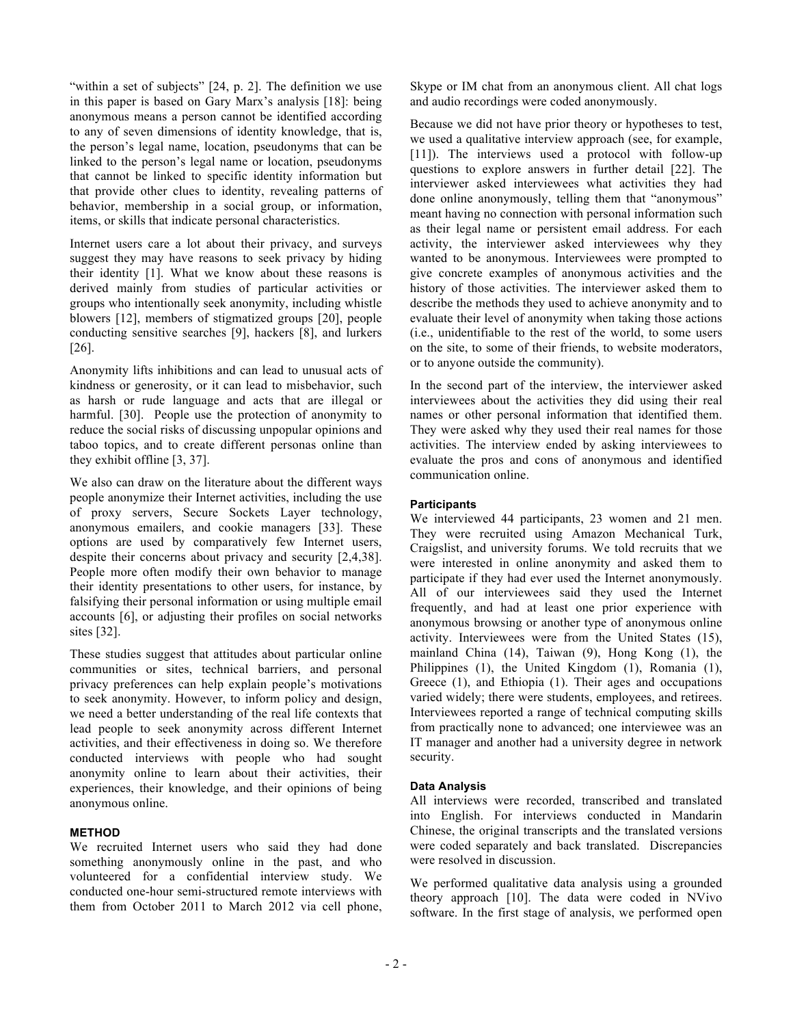"within a set of subjects" [24, p. 2]. The definition we use in this paper is based on Gary Marx's analysis [18]: being anonymous means a person cannot be identified according to any of seven dimensions of identity knowledge, that is, the person's legal name, location, pseudonyms that can be linked to the person's legal name or location, pseudonyms that cannot be linked to specific identity information but that provide other clues to identity, revealing patterns of behavior, membership in a social group, or information, items, or skills that indicate personal characteristics.

Internet users care a lot about their privacy, and surveys suggest they may have reasons to seek privacy by hiding their identity [1]. What we know about these reasons is derived mainly from studies of particular activities or groups who intentionally seek anonymity, including whistle blowers [12], members of stigmatized groups [20], people conducting sensitive searches [9], hackers [8], and lurkers [26].

Anonymity lifts inhibitions and can lead to unusual acts of kindness or generosity, or it can lead to misbehavior, such as harsh or rude language and acts that are illegal or harmful. [30]. People use the protection of anonymity to reduce the social risks of discussing unpopular opinions and taboo topics, and to create different personas online than they exhibit offline [3, 37].

We also can draw on the literature about the different ways people anonymize their Internet activities, including the use of proxy servers, Secure Sockets Layer technology, anonymous emailers, and cookie managers [33]. These options are used by comparatively few Internet users, despite their concerns about privacy and security [2,4,38]. People more often modify their own behavior to manage their identity presentations to other users, for instance, by falsifying their personal information or using multiple email accounts [6], or adjusting their profiles on social networks sites [32].

These studies suggest that attitudes about particular online communities or sites, technical barriers, and personal privacy preferences can help explain people's motivations to seek anonymity. However, to inform policy and design, we need a better understanding of the real life contexts that lead people to seek anonymity across different Internet activities, and their effectiveness in doing so. We therefore conducted interviews with people who had sought anonymity online to learn about their activities, their experiences, their knowledge, and their opinions of being anonymous online.

# **METHOD**

We recruited Internet users who said they had done something anonymously online in the past, and who volunteered for a confidential interview study. We conducted one-hour semi-structured remote interviews with them from October 2011 to March 2012 via cell phone, Skype or IM chat from an anonymous client. All chat logs and audio recordings were coded anonymously.

Because we did not have prior theory or hypotheses to test, we used a qualitative interview approach (see, for example, [11]). The interviews used a protocol with follow-up questions to explore answers in further detail [22]. The interviewer asked interviewees what activities they had done online anonymously, telling them that "anonymous" meant having no connection with personal information such as their legal name or persistent email address. For each activity, the interviewer asked interviewees why they wanted to be anonymous. Interviewees were prompted to give concrete examples of anonymous activities and the history of those activities. The interviewer asked them to describe the methods they used to achieve anonymity and to evaluate their level of anonymity when taking those actions (i.e., unidentifiable to the rest of the world, to some users on the site, to some of their friends, to website moderators, or to anyone outside the community).

In the second part of the interview, the interviewer asked interviewees about the activities they did using their real names or other personal information that identified them. They were asked why they used their real names for those activities. The interview ended by asking interviewees to evaluate the pros and cons of anonymous and identified communication online.

# **Participants**

We interviewed 44 participants, 23 women and 21 men. They were recruited using Amazon Mechanical Turk, Craigslist, and university forums. We told recruits that we were interested in online anonymity and asked them to participate if they had ever used the Internet anonymously. All of our interviewees said they used the Internet frequently, and had at least one prior experience with anonymous browsing or another type of anonymous online activity. Interviewees were from the United States (15), mainland China (14), Taiwan (9), Hong Kong (1), the Philippines (1), the United Kingdom (1), Romania (1), Greece (1), and Ethiopia (1). Their ages and occupations varied widely; there were students, employees, and retirees. Interviewees reported a range of technical computing skills from practically none to advanced; one interviewee was an IT manager and another had a university degree in network security.

# **Data Analysis**

All interviews were recorded, transcribed and translated into English. For interviews conducted in Mandarin Chinese, the original transcripts and the translated versions were coded separately and back translated. Discrepancies were resolved in discussion.

We performed qualitative data analysis using a grounded theory approach [10]. The data were coded in NVivo software. In the first stage of analysis, we performed open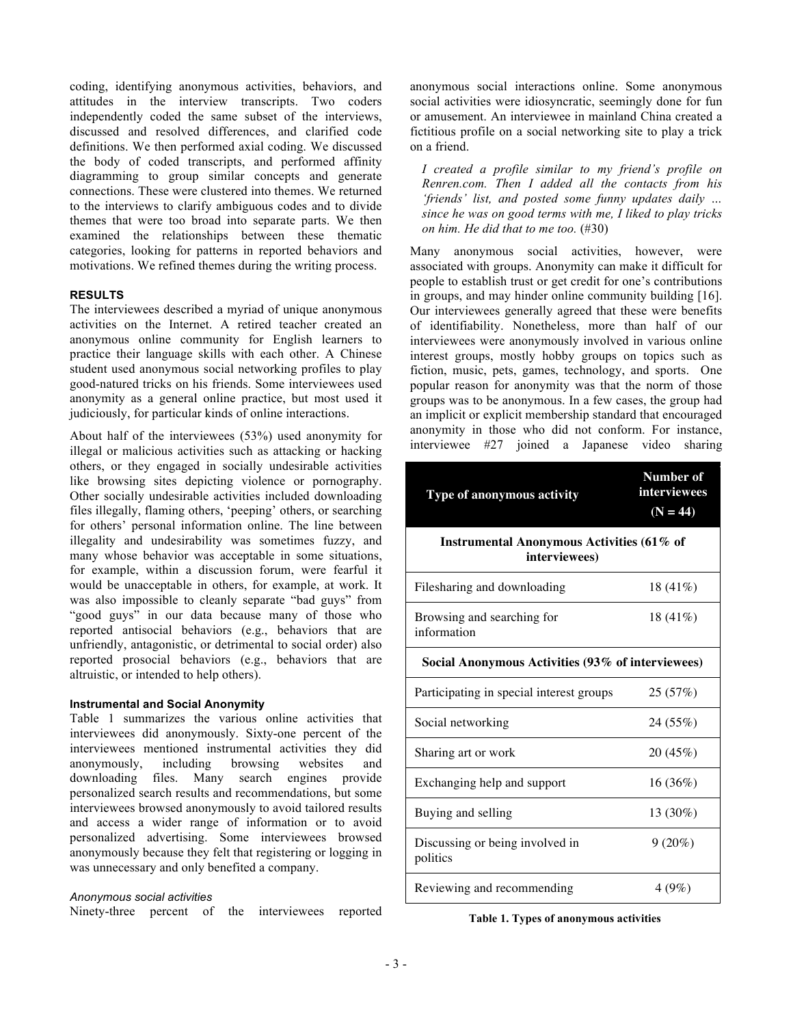coding, identifying anonymous activities, behaviors, and attitudes in the interview transcripts. Two coders independently coded the same subset of the interviews, discussed and resolved differences, and clarified code definitions. We then performed axial coding. We discussed the body of coded transcripts, and performed affinity diagramming to group similar concepts and generate connections. These were clustered into themes. We returned to the interviews to clarify ambiguous codes and to divide themes that were too broad into separate parts. We then examined the relationships between these thematic categories, looking for patterns in reported behaviors and motivations. We refined themes during the writing process.

# **RESULTS**

The interviewees described a myriad of unique anonymous activities on the Internet. A retired teacher created an anonymous online community for English learners to practice their language skills with each other. A Chinese student used anonymous social networking profiles to play good-natured tricks on his friends. Some interviewees used anonymity as a general online practice, but most used it judiciously, for particular kinds of online interactions.

About half of the interviewees (53%) used anonymity for illegal or malicious activities such as attacking or hacking others, or they engaged in socially undesirable activities like browsing sites depicting violence or pornography. Other socially undesirable activities included downloading files illegally, flaming others, 'peeping' others, or searching for others' personal information online. The line between illegality and undesirability was sometimes fuzzy, and many whose behavior was acceptable in some situations, for example, within a discussion forum, were fearful it would be unacceptable in others, for example, at work. It was also impossible to cleanly separate "bad guys" from "good guys" in our data because many of those who reported antisocial behaviors (e.g., behaviors that are unfriendly, antagonistic, or detrimental to social order) also reported prosocial behaviors (e.g., behaviors that are altruistic, or intended to help others).

#### **Instrumental and Social Anonymity**

Table 1 summarizes the various online activities that interviewees did anonymously. Sixty-one percent of the interviewees mentioned instrumental activities they did anonymously, including browsing websites and downloading files. Many search engines provide personalized search results and recommendations, but some interviewees browsed anonymously to avoid tailored results and access a wider range of information or to avoid personalized advertising. Some interviewees browsed anonymously because they felt that registering or logging in was unnecessary and only benefited a company.

# *Anonymous social activities*

Ninety-three percent of the interviewees reported

anonymous social interactions online. Some anonymous social activities were idiosyncratic, seemingly done for fun or amusement. An interviewee in mainland China created a fictitious profile on a social networking site to play a trick on a friend.

*I created a profile similar to my friend's profile on Renren.com. Then I added all the contacts from his 'friends' list, and posted some funny updates daily … since he was on good terms with me, I liked to play tricks on him. He did that to me too.* (#30)

Many anonymous social activities, however, were associated with groups. Anonymity can make it difficult for people to establish trust or get credit for one's contributions in groups, and may hinder online community building [16]. Our interviewees generally agreed that these were benefits of identifiability. Nonetheless, more than half of our interviewees were anonymously involved in various online interest groups, mostly hobby groups on topics such as fiction, music, pets, games, technology, and sports. One popular reason for anonymity was that the norm of those groups was to be anonymous. In a few cases, the group had an implicit or explicit membership standard that encouraged anonymity in those who did not conform. For instance, interviewee #27 joined a Japanese video sharing

| Type of anonymous activity                                 | Number of<br>interviewees<br>$(N = 44)$ |  |
|------------------------------------------------------------|-----------------------------------------|--|
| Instrumental Anonymous Activities (61% of<br>interviewees) |                                         |  |
| Filesharing and downloading                                | $18(41\%)$                              |  |
| Browsing and searching for<br>information                  | 18 $(41\%)$                             |  |
| Social Anonymous Activities (93% of interviewees)          |                                         |  |
| Participating in special interest groups                   | 25(57%)                                 |  |
| Social networking                                          | 24 (55%)                                |  |
| Sharing art or work                                        | 20 (45%)                                |  |
| Exchanging help and support                                | 16(36%)                                 |  |
| Buying and selling                                         | 13 (30%)                                |  |
| Discussing or being involved in<br>politics                | $9(20\%)$                               |  |
| Reviewing and recommending                                 | 4(9%)                                   |  |

**Table 1. Types of anonymous activities**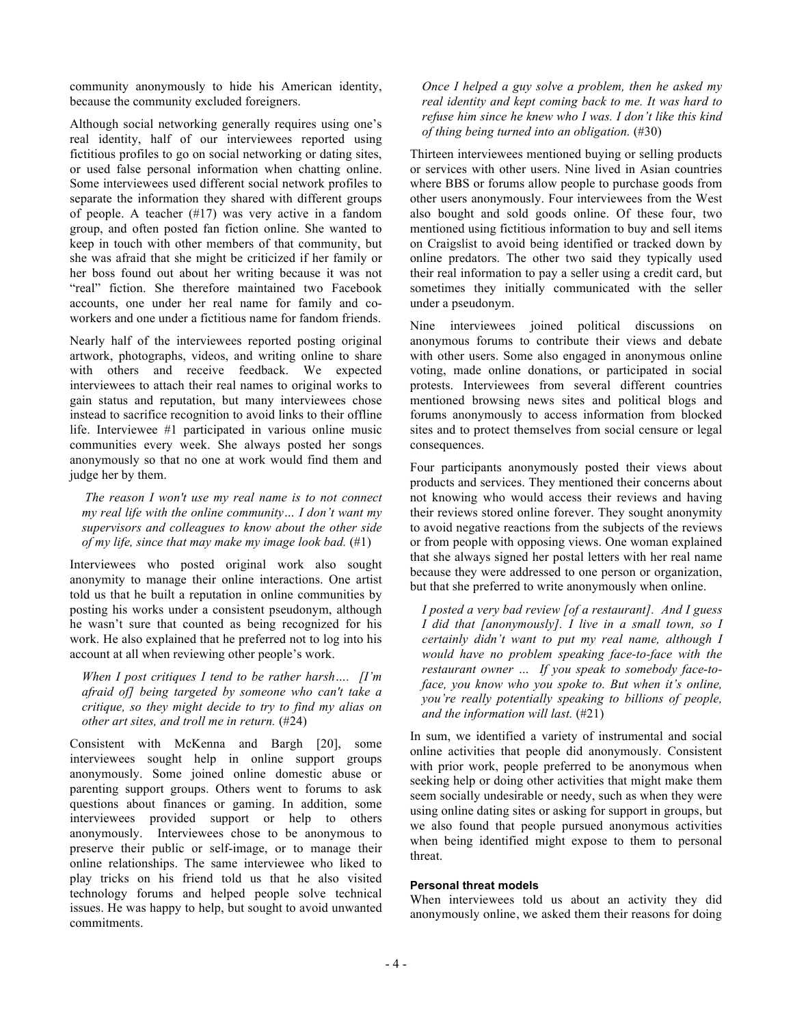community anonymously to hide his American identity, because the community excluded foreigners.

Although social networking generally requires using one's real identity, half of our interviewees reported using fictitious profiles to go on social networking or dating sites, or used false personal information when chatting online. Some interviewees used different social network profiles to separate the information they shared with different groups of people. A teacher (#17) was very active in a fandom group, and often posted fan fiction online. She wanted to keep in touch with other members of that community, but she was afraid that she might be criticized if her family or her boss found out about her writing because it was not "real" fiction. She therefore maintained two Facebook accounts, one under her real name for family and coworkers and one under a fictitious name for fandom friends.

Nearly half of the interviewees reported posting original artwork, photographs, videos, and writing online to share with others and receive feedback. We expected interviewees to attach their real names to original works to gain status and reputation, but many interviewees chose instead to sacrifice recognition to avoid links to their offline life. Interviewee #1 participated in various online music communities every week. She always posted her songs anonymously so that no one at work would find them and judge her by them.

*The reason I won't use my real name is to not connect my real life with the online community… I don't want my supervisors and colleagues to know about the other side of my life, since that may make my image look bad.* (#1)

Interviewees who posted original work also sought anonymity to manage their online interactions. One artist told us that he built a reputation in online communities by posting his works under a consistent pseudonym, although he wasn't sure that counted as being recognized for his work. He also explained that he preferred not to log into his account at all when reviewing other people's work.

*When I post critiques I tend to be rather harsh…. [I'm afraid of] being targeted by someone who can't take a critique, so they might decide to try to find my alias on other art sites, and troll me in return.* (#24)

Consistent with McKenna and Bargh [20], some interviewees sought help in online support groups anonymously. Some joined online domestic abuse or parenting support groups. Others went to forums to ask questions about finances or gaming. In addition, some interviewees provided support or help to others anonymously. Interviewees chose to be anonymous to preserve their public or self-image, or to manage their online relationships. The same interviewee who liked to play tricks on his friend told us that he also visited technology forums and helped people solve technical issues. He was happy to help, but sought to avoid unwanted commitments.

*Once I helped a guy solve a problem, then he asked my real identity and kept coming back to me. It was hard to refuse him since he knew who I was. I don't like this kind of thing being turned into an obligation.* (#30)

Thirteen interviewees mentioned buying or selling products or services with other users. Nine lived in Asian countries where BBS or forums allow people to purchase goods from other users anonymously. Four interviewees from the West also bought and sold goods online. Of these four, two mentioned using fictitious information to buy and sell items on Craigslist to avoid being identified or tracked down by online predators. The other two said they typically used their real information to pay a seller using a credit card, but sometimes they initially communicated with the seller under a pseudonym.

Nine interviewees joined political discussions on anonymous forums to contribute their views and debate with other users. Some also engaged in anonymous online voting, made online donations, or participated in social protests. Interviewees from several different countries mentioned browsing news sites and political blogs and forums anonymously to access information from blocked sites and to protect themselves from social censure or legal consequences.

Four participants anonymously posted their views about products and services. They mentioned their concerns about not knowing who would access their reviews and having their reviews stored online forever. They sought anonymity to avoid negative reactions from the subjects of the reviews or from people with opposing views. One woman explained that she always signed her postal letters with her real name because they were addressed to one person or organization, but that she preferred to write anonymously when online.

*I posted a very bad review [of a restaurant]. And I guess I did that [anonymously]. I live in a small town, so I certainly didn't want to put my real name, although I would have no problem speaking face-to-face with the restaurant owner … If you speak to somebody face-toface, you know who you spoke to. But when it's online, you're really potentially speaking to billions of people, and the information will last.* (#21)

In sum, we identified a variety of instrumental and social online activities that people did anonymously. Consistent with prior work, people preferred to be anonymous when seeking help or doing other activities that might make them seem socially undesirable or needy, such as when they were using online dating sites or asking for support in groups, but we also found that people pursued anonymous activities when being identified might expose to them to personal threat.

# **Personal threat models**

When interviewees told us about an activity they did anonymously online, we asked them their reasons for doing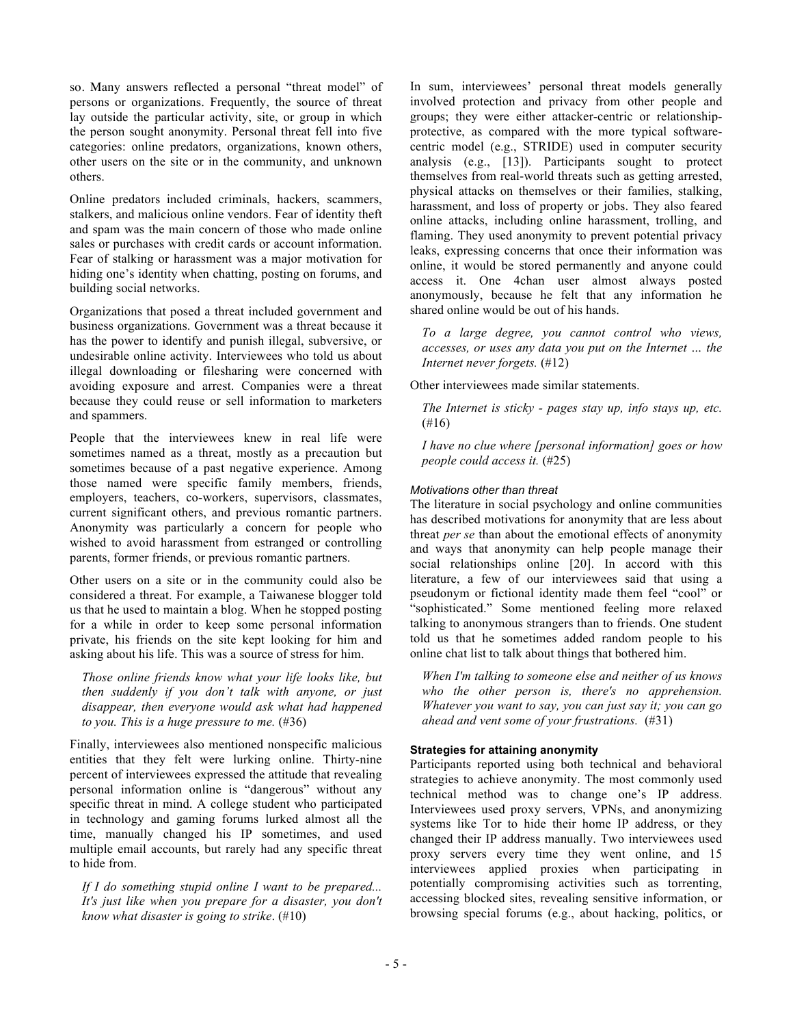so. Many answers reflected a personal "threat model" of persons or organizations. Frequently, the source of threat lay outside the particular activity, site, or group in which the person sought anonymity. Personal threat fell into five categories: online predators, organizations, known others, other users on the site or in the community, and unknown others.

Online predators included criminals, hackers, scammers, stalkers, and malicious online vendors. Fear of identity theft and spam was the main concern of those who made online sales or purchases with credit cards or account information. Fear of stalking or harassment was a major motivation for hiding one's identity when chatting, posting on forums, and building social networks.

Organizations that posed a threat included government and business organizations. Government was a threat because it has the power to identify and punish illegal, subversive, or undesirable online activity. Interviewees who told us about illegal downloading or filesharing were concerned with avoiding exposure and arrest. Companies were a threat because they could reuse or sell information to marketers and spammers.

People that the interviewees knew in real life were sometimes named as a threat, mostly as a precaution but sometimes because of a past negative experience. Among those named were specific family members, friends, employers, teachers, co-workers, supervisors, classmates, current significant others, and previous romantic partners. Anonymity was particularly a concern for people who wished to avoid harassment from estranged or controlling parents, former friends, or previous romantic partners.

Other users on a site or in the community could also be considered a threat. For example, a Taiwanese blogger told us that he used to maintain a blog. When he stopped posting for a while in order to keep some personal information private, his friends on the site kept looking for him and asking about his life. This was a source of stress for him.

*Those online friends know what your life looks like, but then suddenly if you don't talk with anyone, or just disappear, then everyone would ask what had happened to you. This is a huge pressure to me.* (#36)

Finally, interviewees also mentioned nonspecific malicious entities that they felt were lurking online. Thirty-nine percent of interviewees expressed the attitude that revealing personal information online is "dangerous" without any specific threat in mind. A college student who participated in technology and gaming forums lurked almost all the time, manually changed his IP sometimes, and used multiple email accounts, but rarely had any specific threat to hide from.

*If I do something stupid online I want to be prepared... It's just like when you prepare for a disaster, you don't know what disaster is going to strike*. (#10)

In sum, interviewees' personal threat models generally involved protection and privacy from other people and groups; they were either attacker-centric or relationshipprotective, as compared with the more typical softwarecentric model (e.g., STRIDE) used in computer security analysis (e.g., [13]). Participants sought to protect themselves from real-world threats such as getting arrested, physical attacks on themselves or their families, stalking, harassment, and loss of property or jobs. They also feared online attacks, including online harassment, trolling, and flaming. They used anonymity to prevent potential privacy leaks, expressing concerns that once their information was online, it would be stored permanently and anyone could access it. One 4chan user almost always posted anonymously, because he felt that any information he shared online would be out of his hands.

*To a large degree, you cannot control who views, accesses, or uses any data you put on the Internet … the Internet never forgets.* (#12)

Other interviewees made similar statements.

*The Internet is sticky - pages stay up, info stays up, etc.*  (#16)

*I have no clue where [personal information] goes or how people could access it.* (#25)

# *Motivations other than threat*

The literature in social psychology and online communities has described motivations for anonymity that are less about threat *per se* than about the emotional effects of anonymity and ways that anonymity can help people manage their social relationships online [20]. In accord with this literature, a few of our interviewees said that using a pseudonym or fictional identity made them feel "cool" or "sophisticated." Some mentioned feeling more relaxed talking to anonymous strangers than to friends. One student told us that he sometimes added random people to his online chat list to talk about things that bothered him.

*When I'm talking to someone else and neither of us knows who the other person is, there's no apprehension. Whatever you want to say, you can just say it; you can go ahead and vent some of your frustrations.* (#31)

# **Strategies for attaining anonymity**

Participants reported using both technical and behavioral strategies to achieve anonymity. The most commonly used technical method was to change one's IP address. Interviewees used proxy servers, VPNs, and anonymizing systems like Tor to hide their home IP address, or they changed their IP address manually. Two interviewees used proxy servers every time they went online, and 15 interviewees applied proxies when participating in potentially compromising activities such as torrenting, accessing blocked sites, revealing sensitive information, or browsing special forums (e.g., about hacking, politics, or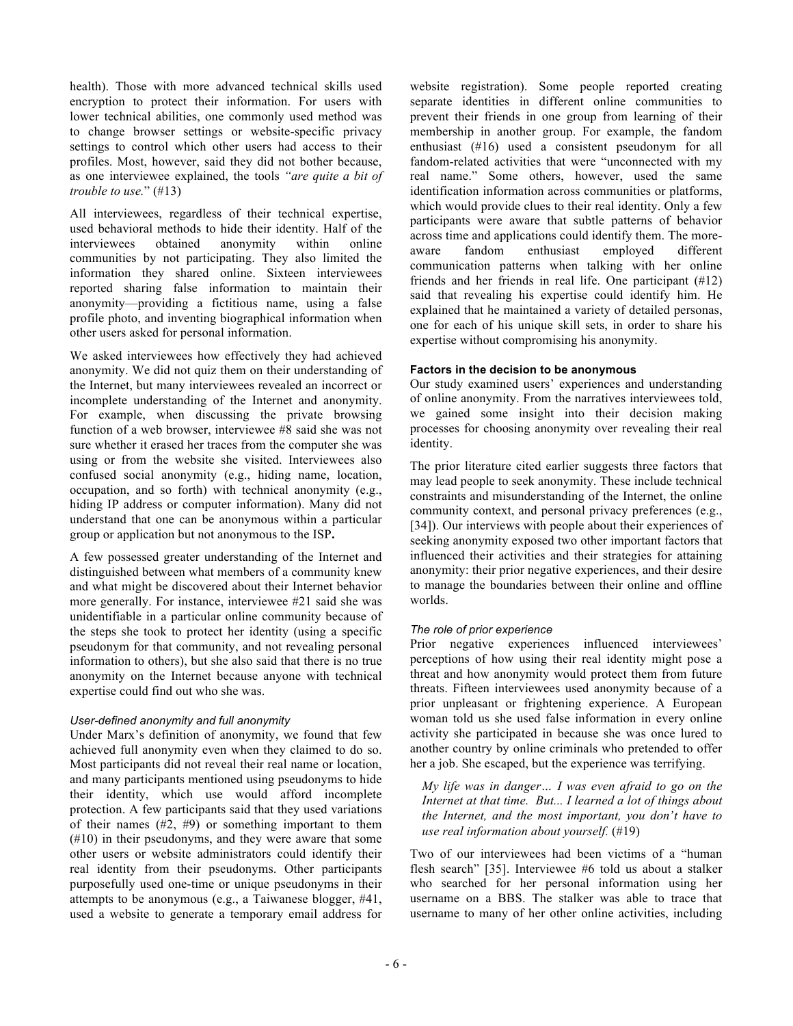health). Those with more advanced technical skills used encryption to protect their information. For users with lower technical abilities, one commonly used method was to change browser settings or website-specific privacy settings to control which other users had access to their profiles. Most, however, said they did not bother because, as one interviewee explained, the tools *"are quite a bit of trouble to use.*" (#13)

All interviewees, regardless of their technical expertise, used behavioral methods to hide their identity. Half of the interviewees obtained anonymity within online communities by not participating. They also limited the information they shared online. Sixteen interviewees reported sharing false information to maintain their anonymity—providing a fictitious name, using a false profile photo, and inventing biographical information when other users asked for personal information.

We asked interviewees how effectively they had achieved anonymity. We did not quiz them on their understanding of the Internet, but many interviewees revealed an incorrect or incomplete understanding of the Internet and anonymity. For example, when discussing the private browsing function of a web browser, interviewee #8 said she was not sure whether it erased her traces from the computer she was using or from the website she visited. Interviewees also confused social anonymity (e.g., hiding name, location, occupation, and so forth) with technical anonymity (e.g., hiding IP address or computer information). Many did not understand that one can be anonymous within a particular group or application but not anonymous to the ISP**.** 

A few possessed greater understanding of the Internet and distinguished between what members of a community knew and what might be discovered about their Internet behavior more generally. For instance, interviewee #21 said she was unidentifiable in a particular online community because of the steps she took to protect her identity (using a specific pseudonym for that community, and not revealing personal information to others), but she also said that there is no true anonymity on the Internet because anyone with technical expertise could find out who she was.

# *User-defined anonymity and full anonymity*

Under Marx's definition of anonymity, we found that few achieved full anonymity even when they claimed to do so. Most participants did not reveal their real name or location, and many participants mentioned using pseudonyms to hide their identity, which use would afford incomplete protection. A few participants said that they used variations of their names  $(\#2, \#9)$  or something important to them (#10) in their pseudonyms, and they were aware that some other users or website administrators could identify their real identity from their pseudonyms. Other participants purposefully used one-time or unique pseudonyms in their attempts to be anonymous (e.g., a Taiwanese blogger, #41, used a website to generate a temporary email address for

website registration). Some people reported creating separate identities in different online communities to prevent their friends in one group from learning of their membership in another group. For example, the fandom enthusiast (#16) used a consistent pseudonym for all fandom-related activities that were "unconnected with my real name." Some others, however, used the same identification information across communities or platforms, which would provide clues to their real identity. Only a few participants were aware that subtle patterns of behavior across time and applications could identify them. The moreaware fandom enthusiast employed different communication patterns when talking with her online friends and her friends in real life. One participant (#12) said that revealing his expertise could identify him. He explained that he maintained a variety of detailed personas, one for each of his unique skill sets, in order to share his expertise without compromising his anonymity.

# **Factors in the decision to be anonymous**

Our study examined users' experiences and understanding of online anonymity. From the narratives interviewees told, we gained some insight into their decision making processes for choosing anonymity over revealing their real identity.

The prior literature cited earlier suggests three factors that may lead people to seek anonymity. These include technical constraints and misunderstanding of the Internet, the online community context, and personal privacy preferences (e.g., [34]). Our interviews with people about their experiences of seeking anonymity exposed two other important factors that influenced their activities and their strategies for attaining anonymity: their prior negative experiences, and their desire to manage the boundaries between their online and offline worlds.

# *The role of prior experience*

Prior negative experiences influenced interviewees' perceptions of how using their real identity might pose a threat and how anonymity would protect them from future threats. Fifteen interviewees used anonymity because of a prior unpleasant or frightening experience. A European woman told us she used false information in every online activity she participated in because she was once lured to another country by online criminals who pretended to offer her a job. She escaped, but the experience was terrifying.

*My life was in danger… I was even afraid to go on the Internet at that time. But... I learned a lot of things about the Internet, and the most important, you don't have to use real information about yourself.* (#19)

Two of our interviewees had been victims of a "human flesh search" [35]. Interviewee #6 told us about a stalker who searched for her personal information using her username on a BBS. The stalker was able to trace that username to many of her other online activities, including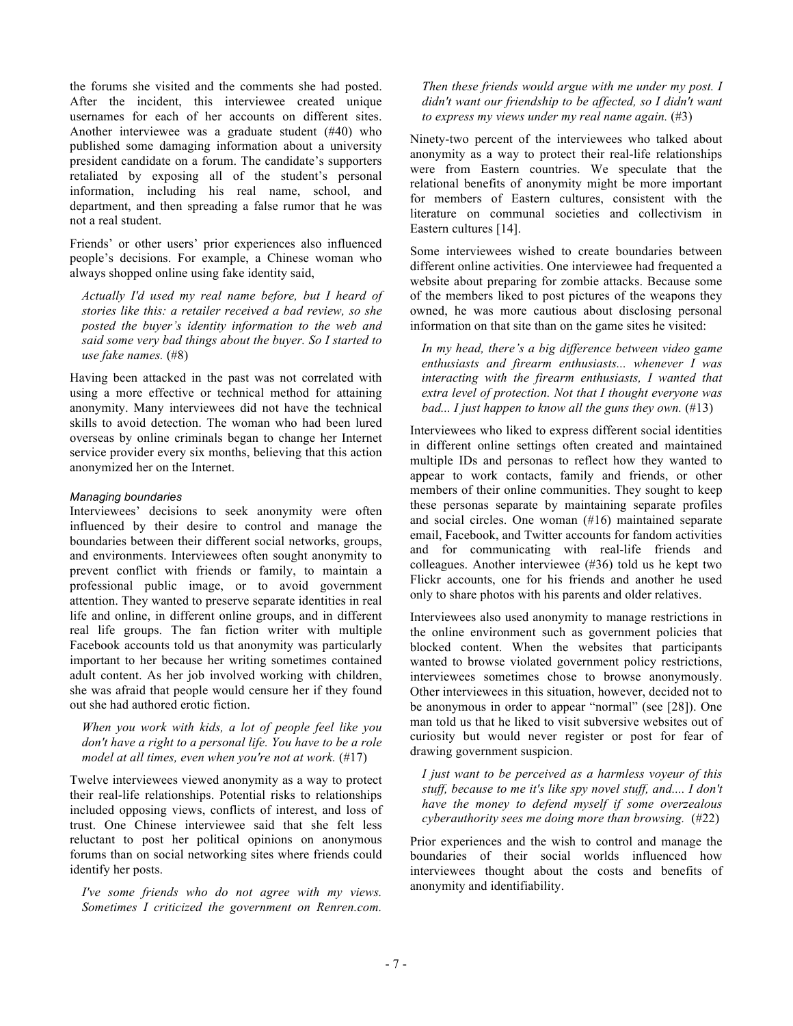the forums she visited and the comments she had posted. After the incident, this interviewee created unique usernames for each of her accounts on different sites. Another interviewee was a graduate student (#40) who published some damaging information about a university president candidate on a forum. The candidate's supporters retaliated by exposing all of the student's personal information, including his real name, school, and department, and then spreading a false rumor that he was not a real student.

Friends' or other users' prior experiences also influenced people's decisions. For example, a Chinese woman who always shopped online using fake identity said,

*Actually I'd used my real name before, but I heard of stories like this: a retailer received a bad review, so she posted the buyer's identity information to the web and said some very bad things about the buyer. So I started to use fake names.* (#8)

Having been attacked in the past was not correlated with using a more effective or technical method for attaining anonymity. Many interviewees did not have the technical skills to avoid detection. The woman who had been lured overseas by online criminals began to change her Internet service provider every six months, believing that this action anonymized her on the Internet.

# *Managing boundaries*

Interviewees' decisions to seek anonymity were often influenced by their desire to control and manage the boundaries between their different social networks, groups, and environments. Interviewees often sought anonymity to prevent conflict with friends or family, to maintain a professional public image, or to avoid government attention. They wanted to preserve separate identities in real life and online, in different online groups, and in different real life groups. The fan fiction writer with multiple Facebook accounts told us that anonymity was particularly important to her because her writing sometimes contained adult content. As her job involved working with children, she was afraid that people would censure her if they found out she had authored erotic fiction.

*When you work with kids, a lot of people feel like you don't have a right to a personal life. You have to be a role model at all times, even when you're not at work.* (#17)

Twelve interviewees viewed anonymity as a way to protect their real-life relationships. Potential risks to relationships included opposing views, conflicts of interest, and loss of trust. One Chinese interviewee said that she felt less reluctant to post her political opinions on anonymous forums than on social networking sites where friends could identify her posts.

*I've some friends who do not agree with my views. Sometimes I criticized the government on Renren.com.* 

*Then these friends would argue with me under my post. I didn't want our friendship to be affected, so I didn't want to express my views under my real name again.* (#3)

Ninety-two percent of the interviewees who talked about anonymity as a way to protect their real-life relationships were from Eastern countries. We speculate that the relational benefits of anonymity might be more important for members of Eastern cultures, consistent with the literature on communal societies and collectivism in Eastern cultures [14].

Some interviewees wished to create boundaries between different online activities. One interviewee had frequented a website about preparing for zombie attacks. Because some of the members liked to post pictures of the weapons they owned, he was more cautious about disclosing personal information on that site than on the game sites he visited:

*In my head, there's a big difference between video game enthusiasts and firearm enthusiasts... whenever I was interacting with the firearm enthusiasts, I wanted that extra level of protection. Not that I thought everyone was bad... I just happen to know all the guns they own.* (#13)

Interviewees who liked to express different social identities in different online settings often created and maintained multiple IDs and personas to reflect how they wanted to appear to work contacts, family and friends, or other members of their online communities. They sought to keep these personas separate by maintaining separate profiles and social circles. One woman (#16) maintained separate email, Facebook, and Twitter accounts for fandom activities and for communicating with real-life friends and colleagues. Another interviewee (#36) told us he kept two Flickr accounts, one for his friends and another he used only to share photos with his parents and older relatives.

Interviewees also used anonymity to manage restrictions in the online environment such as government policies that blocked content. When the websites that participants wanted to browse violated government policy restrictions, interviewees sometimes chose to browse anonymously. Other interviewees in this situation, however, decided not to be anonymous in order to appear "normal" (see [28]). One man told us that he liked to visit subversive websites out of curiosity but would never register or post for fear of drawing government suspicion.

*I just want to be perceived as a harmless voyeur of this stuff, because to me it's like spy novel stuff, and.... I don't have the money to defend myself if some overzealous cyberauthority sees me doing more than browsing.* (#22)

Prior experiences and the wish to control and manage the boundaries of their social worlds influenced how interviewees thought about the costs and benefits of anonymity and identifiability.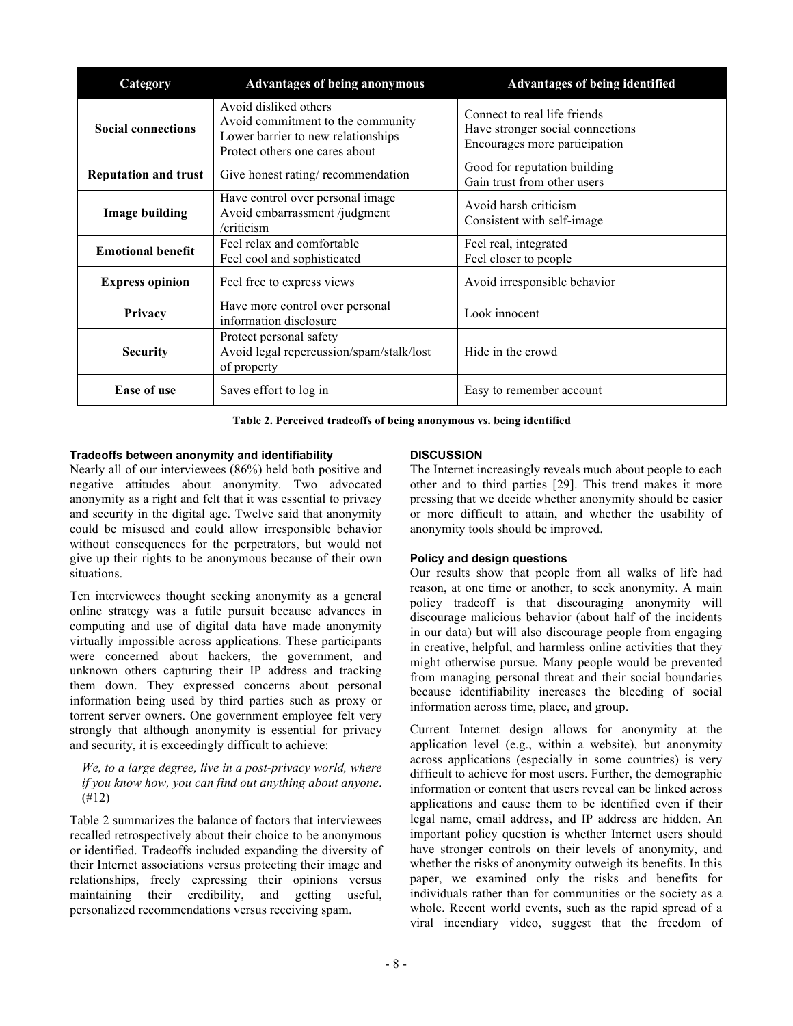| Category                    | <b>Advantages of being anonymous</b>                                                                                               | <b>Advantages of being identified</b>                                                             |
|-----------------------------|------------------------------------------------------------------------------------------------------------------------------------|---------------------------------------------------------------------------------------------------|
| <b>Social connections</b>   | Avoid disliked others<br>Avoid commitment to the community<br>Lower barrier to new relationships<br>Protect others one cares about | Connect to real life friends<br>Have stronger social connections<br>Encourages more participation |
| <b>Reputation and trust</b> | Give honest rating/recommendation                                                                                                  | Good for reputation building<br>Gain trust from other users                                       |
| <b>Image building</b>       | Have control over personal image<br>Avoid embarrassment /judgment<br>/criticism                                                    | Avoid harsh criticism<br>Consistent with self-image                                               |
| <b>Emotional benefit</b>    | Feel relax and comfortable<br>Feel cool and sophisticated                                                                          | Feel real, integrated<br>Feel closer to people                                                    |
| <b>Express opinion</b>      | Feel free to express views                                                                                                         | Avoid irresponsible behavior                                                                      |
| Privacy                     | Have more control over personal<br>information disclosure                                                                          | Look innocent                                                                                     |
| <b>Security</b>             | Protect personal safety<br>Avoid legal repercussion/spam/stalk/lost<br>of property                                                 | Hide in the crowd                                                                                 |
| <b>Ease of use</b>          | Saves effort to log in                                                                                                             | Easy to remember account                                                                          |

**Table 2. Perceived tradeoffs of being anonymous vs. being identified**

# **Tradeoffs between anonymity and identifiability**

# **DISCUSSION**

Nearly all of our interviewees (86%) held both positive and negative attitudes about anonymity. Two advocated anonymity as a right and felt that it was essential to privacy and security in the digital age. Twelve said that anonymity could be misused and could allow irresponsible behavior without consequences for the perpetrators, but would not give up their rights to be anonymous because of their own situations.

Ten interviewees thought seeking anonymity as a general online strategy was a futile pursuit because advances in computing and use of digital data have made anonymity virtually impossible across applications. These participants were concerned about hackers, the government, and unknown others capturing their IP address and tracking them down. They expressed concerns about personal information being used by third parties such as proxy or torrent server owners. One government employee felt very strongly that although anonymity is essential for privacy and security, it is exceedingly difficult to achieve:

*We, to a large degree, live in a post-privacy world, where if you know how, you can find out anything about anyone*. (#12)

Table 2 summarizes the balance of factors that interviewees recalled retrospectively about their choice to be anonymous or identified. Tradeoffs included expanding the diversity of their Internet associations versus protecting their image and relationships, freely expressing their opinions versus maintaining their credibility, and getting useful, personalized recommendations versus receiving spam.

The Internet increasingly reveals much about people to each other and to third parties [29]. This trend makes it more pressing that we decide whether anonymity should be easier or more difficult to attain, and whether the usability of anonymity tools should be improved.

# **Policy and design questions**

Our results show that people from all walks of life had reason, at one time or another, to seek anonymity. A main policy tradeoff is that discouraging anonymity will discourage malicious behavior (about half of the incidents in our data) but will also discourage people from engaging in creative, helpful, and harmless online activities that they might otherwise pursue. Many people would be prevented from managing personal threat and their social boundaries because identifiability increases the bleeding of social information across time, place, and group.

Current Internet design allows for anonymity at the application level (e.g., within a website), but anonymity across applications (especially in some countries) is very difficult to achieve for most users. Further, the demographic information or content that users reveal can be linked across applications and cause them to be identified even if their legal name, email address, and IP address are hidden. An important policy question is whether Internet users should have stronger controls on their levels of anonymity, and whether the risks of anonymity outweigh its benefits. In this paper, we examined only the risks and benefits for individuals rather than for communities or the society as a whole. Recent world events, such as the rapid spread of a viral incendiary video, suggest that the freedom of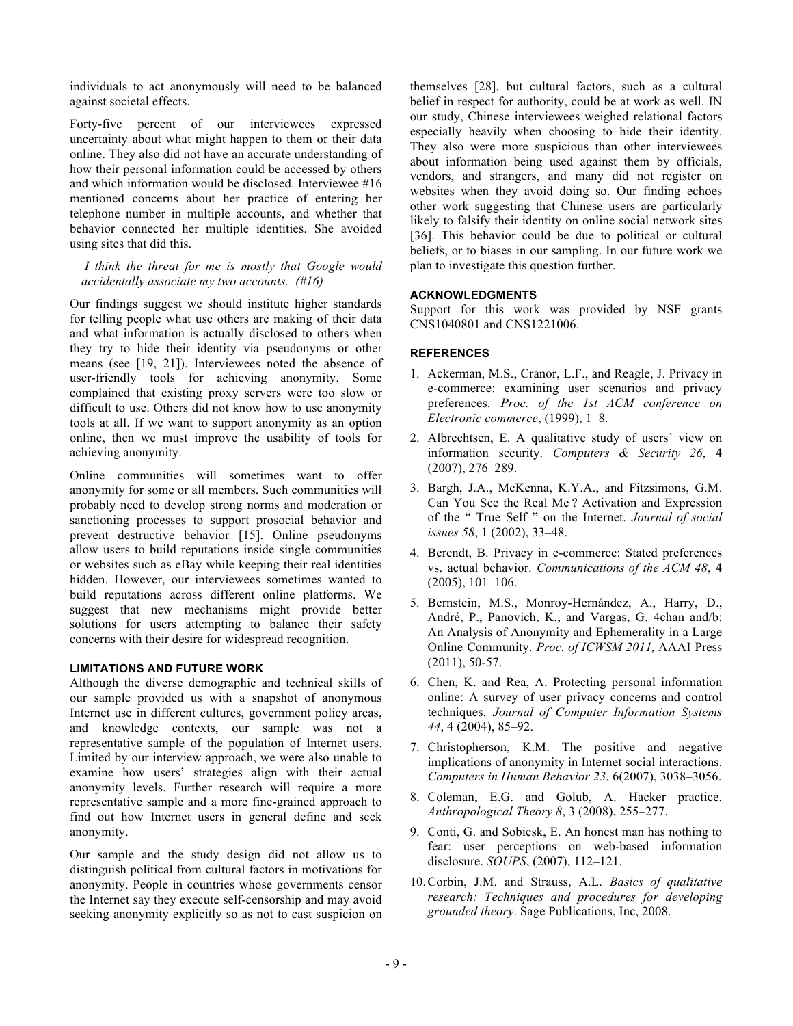individuals to act anonymously will need to be balanced against societal effects.

Forty-five percent of our interviewees expressed uncertainty about what might happen to them or their data online. They also did not have an accurate understanding of how their personal information could be accessed by others and which information would be disclosed. Interviewee #16 mentioned concerns about her practice of entering her telephone number in multiple accounts, and whether that behavior connected her multiple identities. She avoided using sites that did this.

*I think the threat for me is mostly that Google would accidentally associate my two accounts. (#16)*

Our findings suggest we should institute higher standards for telling people what use others are making of their data and what information is actually disclosed to others when they try to hide their identity via pseudonyms or other means (see [19, 21]). Interviewees noted the absence of user-friendly tools for achieving anonymity. Some complained that existing proxy servers were too slow or difficult to use. Others did not know how to use anonymity tools at all. If we want to support anonymity as an option online, then we must improve the usability of tools for achieving anonymity.

Online communities will sometimes want to offer anonymity for some or all members. Such communities will probably need to develop strong norms and moderation or sanctioning processes to support prosocial behavior and prevent destructive behavior [15]. Online pseudonyms allow users to build reputations inside single communities or websites such as eBay while keeping their real identities hidden. However, our interviewees sometimes wanted to build reputations across different online platforms. We suggest that new mechanisms might provide better solutions for users attempting to balance their safety concerns with their desire for widespread recognition.

# **LIMITATIONS AND FUTURE WORK**

Although the diverse demographic and technical skills of our sample provided us with a snapshot of anonymous Internet use in different cultures, government policy areas, and knowledge contexts, our sample was not a representative sample of the population of Internet users. Limited by our interview approach, we were also unable to examine how users' strategies align with their actual anonymity levels. Further research will require a more representative sample and a more fine-grained approach to find out how Internet users in general define and seek anonymity.

Our sample and the study design did not allow us to distinguish political from cultural factors in motivations for anonymity. People in countries whose governments censor the Internet say they execute self-censorship and may avoid seeking anonymity explicitly so as not to cast suspicion on

themselves [28], but cultural factors, such as a cultural belief in respect for authority, could be at work as well. IN our study, Chinese interviewees weighed relational factors especially heavily when choosing to hide their identity. They also were more suspicious than other interviewees about information being used against them by officials, vendors, and strangers, and many did not register on websites when they avoid doing so. Our finding echoes other work suggesting that Chinese users are particularly likely to falsify their identity on online social network sites [36]. This behavior could be due to political or cultural beliefs, or to biases in our sampling. In our future work we plan to investigate this question further.

#### **ACKNOWLEDGMENTS**

Support for this work was provided by NSF grants CNS1040801 and CNS1221006.

# **REFERENCES**

- 1. Ackerman, M.S., Cranor, L.F., and Reagle, J. Privacy in e-commerce: examining user scenarios and privacy preferences. *Proc. of the 1st ACM conference on Electronic commerce*, (1999), 1–8.
- 2. Albrechtsen, E. A qualitative study of users' view on information security. *Computers & Security 26*, 4 (2007), 276–289.
- 3. Bargh, J.A., McKenna, K.Y.A., and Fitzsimons, G.M. Can You See the Real Me ? Activation and Expression of the " True Self " on the Internet. *Journal of social issues 58*, 1 (2002), 33–48.
- 4. Berendt, B. Privacy in e-commerce: Stated preferences vs. actual behavior. *Communications of the ACM 48*, 4 (2005), 101–106.
- 5. Bernstein, M.S., Monroy-Hernández, A., Harry, D., André, P., Panovich, K., and Vargas, G. 4chan and/b: An Analysis of Anonymity and Ephemerality in a Large Online Community. *Proc. of ICWSM 2011,* AAAI Press (2011), 50-57.
- 6. Chen, K. and Rea, A. Protecting personal information online: A survey of user privacy concerns and control techniques. *Journal of Computer Information Systems 44*, 4 (2004), 85–92.
- 7. Christopherson, K.M. The positive and negative implications of anonymity in Internet social interactions. *Computers in Human Behavior 23*, 6(2007), 3038–3056.
- 8. Coleman, E.G. and Golub, A. Hacker practice. *Anthropological Theory 8*, 3 (2008), 255–277.
- 9. Conti, G. and Sobiesk, E. An honest man has nothing to fear: user perceptions on web-based information disclosure. *SOUPS*, (2007), 112–121.
- 10.Corbin, J.M. and Strauss, A.L. *Basics of qualitative research: Techniques and procedures for developing grounded theory*. Sage Publications, Inc, 2008.